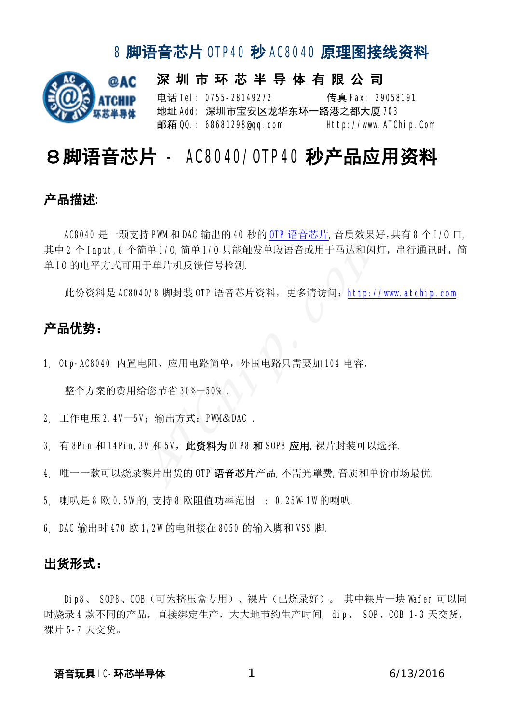

深 圳 市 环 芯 半 导 体 有 限 公 司 电话 Tel: 0755-28149272 传真 Fax: 29058191 地址 Add: 深圳市宝安区龙华东环一路港之都大厦 703 邮箱 QQ.: 68681298@qq.com Http://www.ATChip.Com

## 8脚语音芯片 - AC8040/OTP40 秒产品应用资料

#### 产品描述:

AC8040 是一颗支持 PWM 和 DAC 输出的 40 秒的 OTP 语音芯片,音质效果好,共有 8 个 I/0 口, 其中2个 Input,6个简单 I/0,简单 I/0 只能触发单段语音或用于马达和闪灯,串行通讯时,简 单 IO 的电平方式可用于单片机反馈信号检测. (37 Pum和 DAC 捆出的 40 秒的 <u>OIP 店目心外</u>, 自灰双来对<br>简单 1/0,简单 1/0 只能触发单段语音或用于马达和闪火<br>用于单片机反馈信号检测.<br>040/8 脚封装 OTP 语音芯片资料,更多请访问:http://<br><br><br>|电阻、应用电路简单,外围电路只需要加 104 电容.<br>|给您节省 30%-50% .<br>|分<br>|给您节省 30%-50% .<br>|3V 和 5V,此资料为 DIP8 和 S0P8 应用,裸片封装可以设

此份资料是 AC8040/8 脚封装 OTP 语音芯片资料, 更多请访问: http://www.atchip.com

#### 产品优势:

1, Otp-AC8040 内置电阻、应用电路简单, 外围电路只需要加 104 电容.

整个方案的费用给您节省 30%-50% .

- 2, 工作电压 2.4V-5V; 输出方式: PWM&DAC .
- 3, 有 8Pin 和 14Pin,3V 和 5V, 此资料为 DIP8 和 SOP8 应用,裸片封装可以选择.
- 4, 唯一一款可以烧录裸片出货的 OTP 语音芯片产品,不需光罩费,音质和单价市场最优.
- 5, 喇叭是 8 欧 0.5W的,支持 8 欧阻值功率范围 : 0.25W-1W的喇叭.
- 6, DAC 输出时 470 欧 1/2W 的电阻接在 8050 的输入脚和 VSS 脚.

#### 出货形式:

Dip8、 SOP8、COB(可为挤压盒专用)、裸片(已烧录好)。 其中裸片一块 Wafer 可以同 时烧录4款不同的产品,直接绑定生产,大大地节约生产时间, dip、 SOP、COB 1-3 天交货, 裸片 5-7 天交货。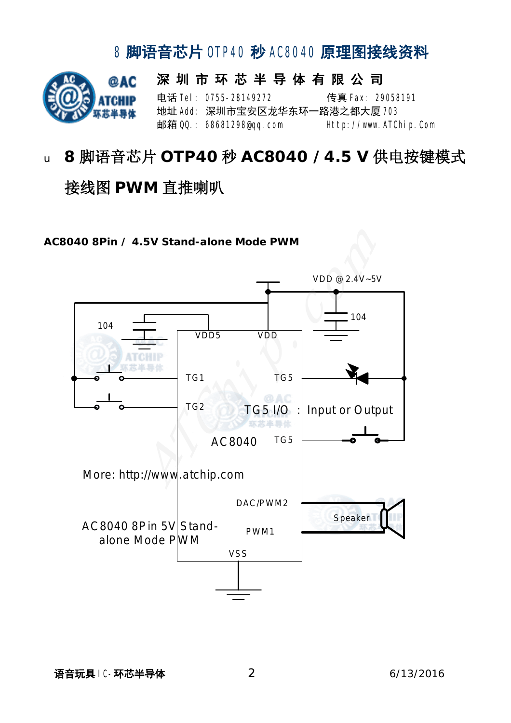

# <sup>u</sup> **8** 脚语音芯片 **OTP40** 秒 **AC8040 /4.5 V** 供电按键模式 接线图 **PWM** 直推喇叭

**AC8040 8Pin / 4.5V Stand-alone Mode PWM** 

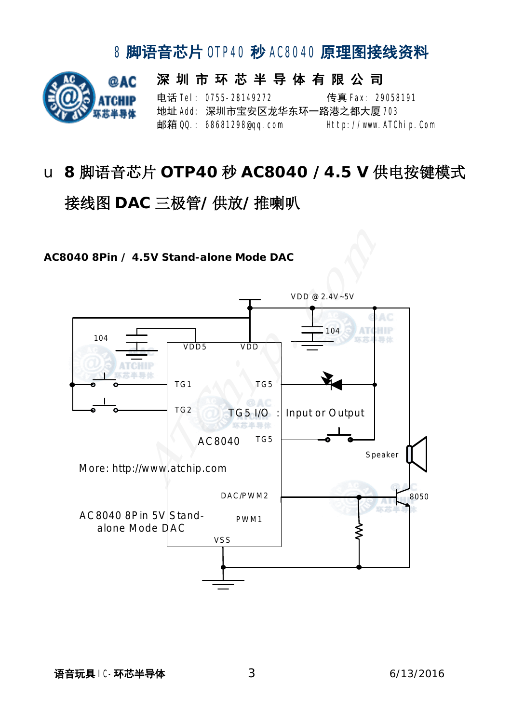

# u **8** 脚语音芯片 **OTP40** 秒 **AC8040 /4.5 V** 供电按键模式 接线图 **DAC** 三极管**/**供放**/**推喇叭

**AC8040 8Pin / 4.5V Stand-alone Mode DAC** 

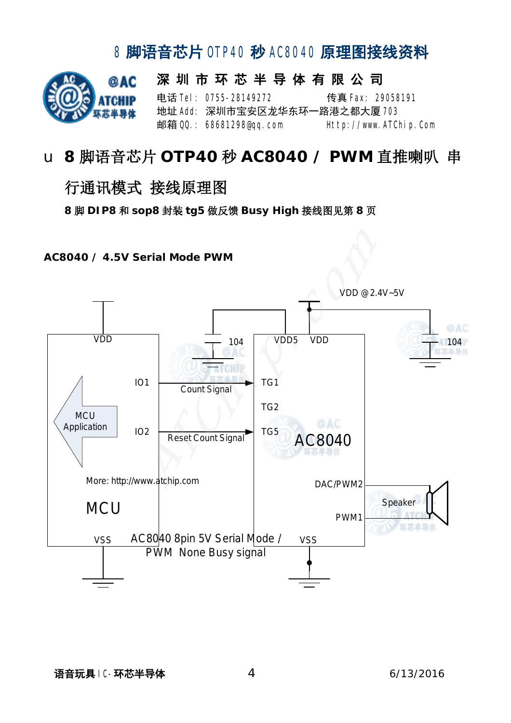

#### u **8** 脚语音芯片 **OTP40** 秒 **AC8040 / PWM** 直推喇叭 串

#### 行通讯模式 接线原理图

 **8** 脚 **DIP8** 和 **sop8** 封装 **tg5** 做反馈 **Busy High** 接线图见第 **8** 页

**AC8040 / 4.5V Serial Mode PWM** 

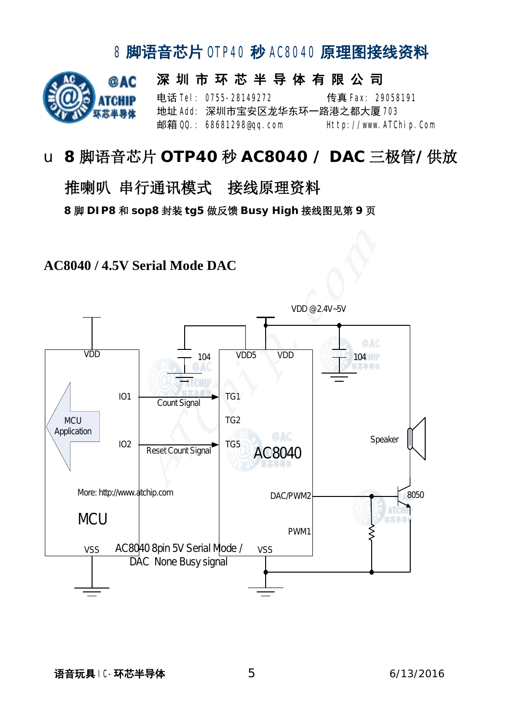

# u **8** 脚语音芯片 **OTP40** 秒 **AC8040 / DAC** 三极管**/**供放

### 推喇叭 串行通讯模式 接线原理资料 **8** 脚 **DIP8** 和 **sop8** 封装 **tg5** 做反馈 **Busy High** 接线图见第 **9** 页

#### **AC8040 / 4.5V Serial Mode DAC**



语音玩具 IC-环芯半导体 56/13/2016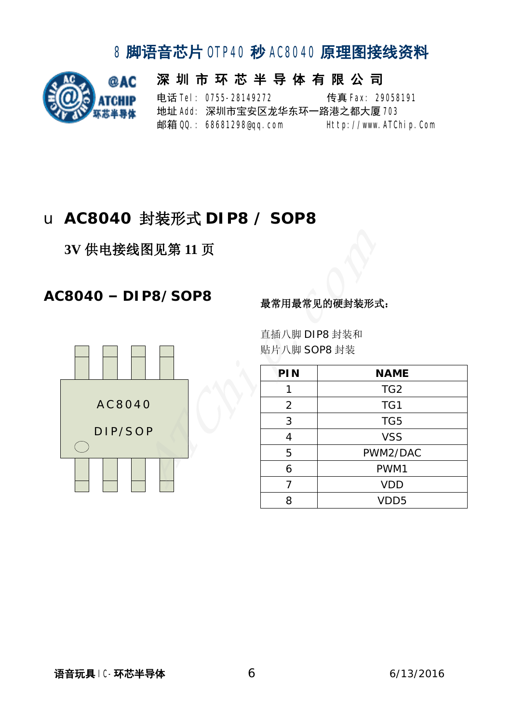

深 圳 市 环 芯 半 导 体 有 限 公 司 电话 **Tel: 0755-28149272** 传真 Fax: 29058191 地址 Add: 深圳市宝安区龙华东环一路港之都大厦 703 邮箱 QQ.: 68681298@qq.com Http://www.ATChip.Com

#### u **AC8040** 封装形式 **DIP8 / SOP8**

**3V** 供电接线图见第 **11** 页

#### **AC8040 – DIP8/SOP8** 最常用最常见的硬封装形式:



直插八脚 DIP8 封装和 贴片八脚 SOP8 封装

| PIN            | <b>NAME</b>      |
|----------------|------------------|
|                | TG <sub>2</sub>  |
| $\overline{2}$ | TG1              |
| 3              | TG5              |
| 4              | <b>VSS</b>       |
| 5              | PWM2/DAC         |
| 6              | PWM1             |
| 7              | <b>VDD</b>       |
| Զ              | VDD <sub>5</sub> |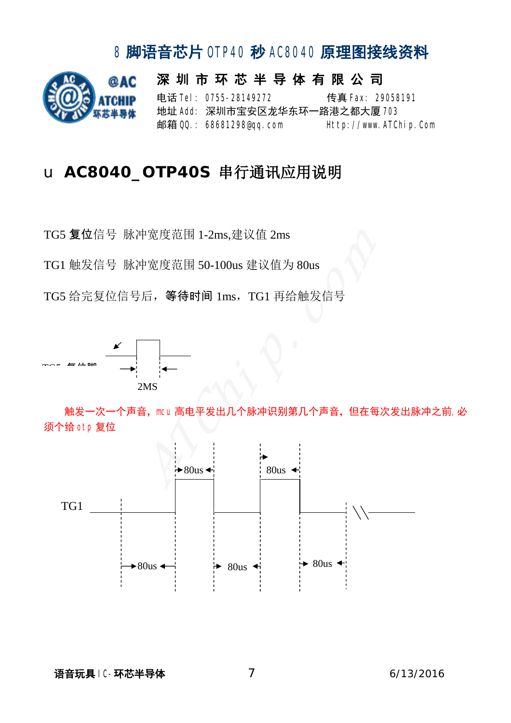

深 圳 市 环 芯 半 导 体 有 限 公 司 电话 **Tel: 0755-28149272** 传真 Fax: 29058191 地址 Add: 深圳市宝安区龙华东环一路港之都大厦 708 邮箱 QQ.: 68681298@qq.com Http://www.ATChip.Com

#### u **AC8040\_OTP40S** 串行通讯应用说明

TG5 复位信号 脉冲宽度范围 1-2ms,建议值 2ms

TG1 触发信号 脉冲宽度范围 50-100us 建议值为 80us

TG5 给完复位信号后,等待时间 1ms,TG1 再给触发信号



触发一次一个声音,mcu 高电平发出几个脉冲识别第几个声音,但在每次发出脉冲之前,必 须个给 otp 复位

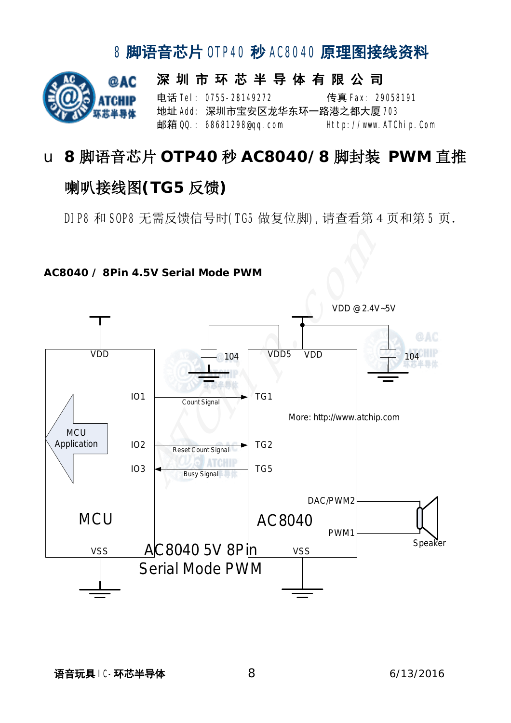# @AC

#### 深 圳 市 环 芯 半 导 体 有 限 公 司 电话 **Tel: 0755-28149272** 传真 **Fax: 29058191** 地址 Add: 深圳市宝安区龙华东环一路港之都大厦 703 邮箱 QQ: 68681298@qq.com Http://www.ATChip.Com

# u **8** 脚语音芯片 **OTP40** 秒 **AC8040/8** 脚封装 **PWM** 直推 喇叭接线图**(TG5** 反馈**)**

8 脚语音芯片 OTP40 秒 AC8040 原理图接线资料

DIP8 和 SOP8 无需反馈信号时(TG5 做复位脚),请查看第 4 页和第 5 页.



**AC8040 / 8Pin 4.5V Serial Mode PWM**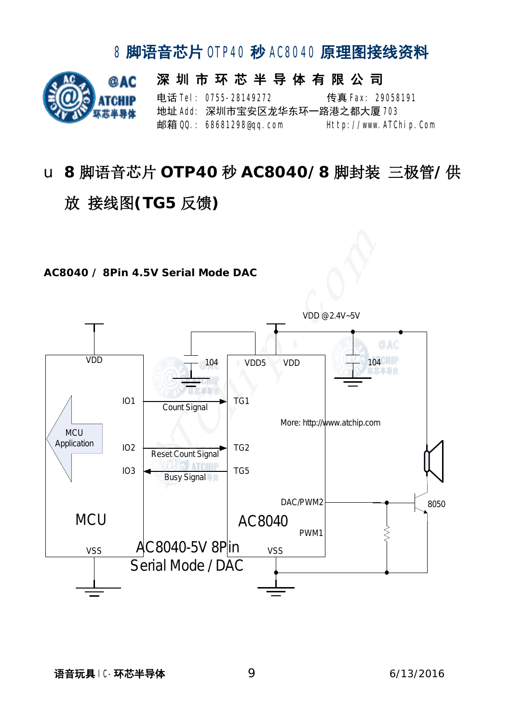

# u **8** 脚语音芯片 **OTP40** 秒 **AC8040/8** 脚封装 三极管**/**供 放 接线图**(TG5** 反馈**)**

#### **AC8040 / 8Pin 4.5V Serial Mode DAC**



语音玩具 IC-环芯半导体 9 6/13/2016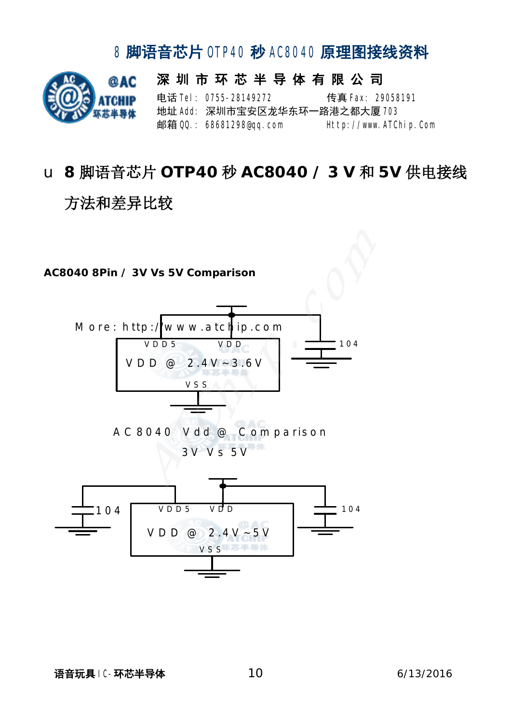

# u **8** 脚语音芯片 **OTP40** 秒 **AC8040 / 3 V** 和 **5V** 供电接线 方法和差异比较

#### **AC8040 8Pin / 3V Vs 5V Comparison**